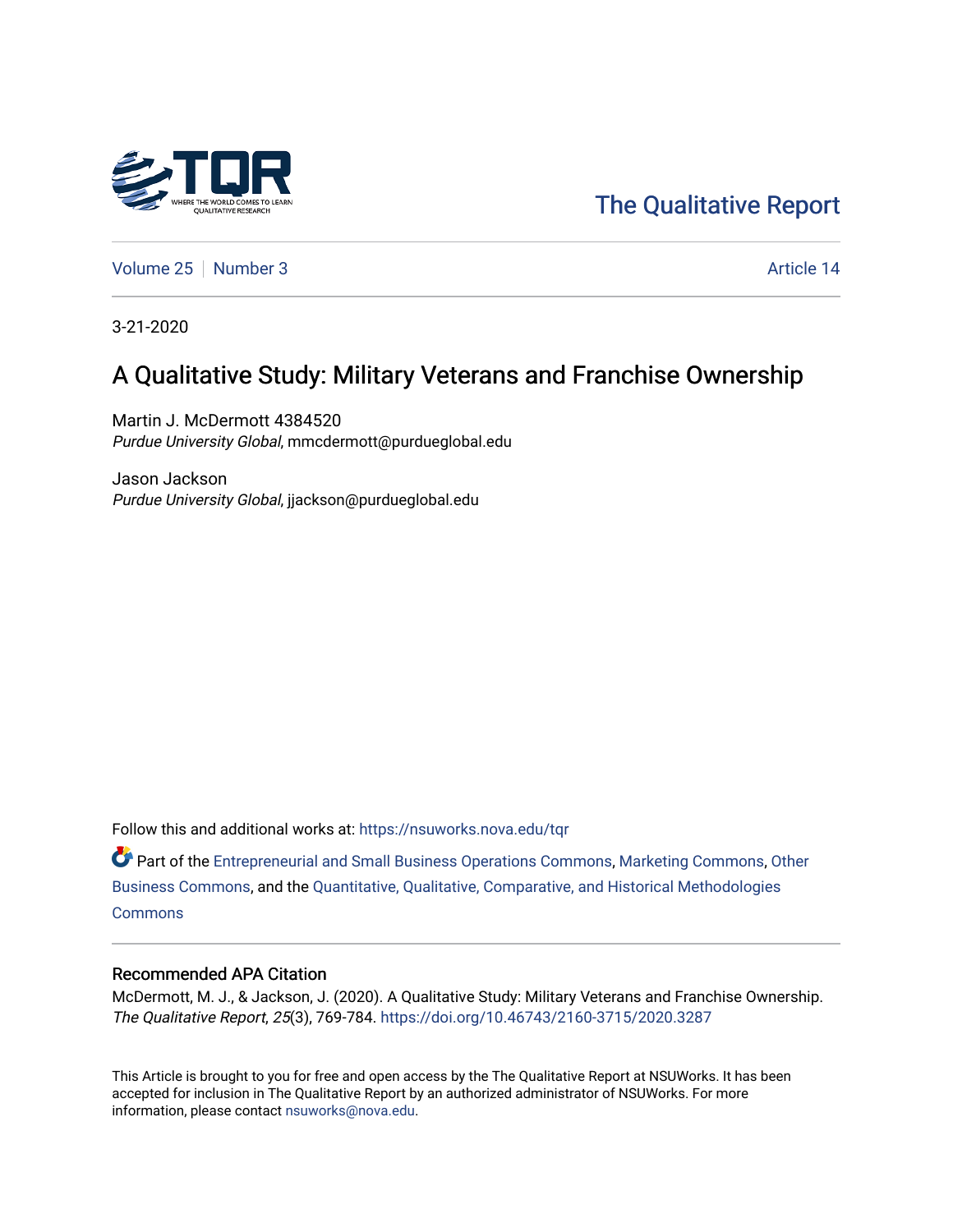

[The Qualitative Report](https://nsuworks.nova.edu/tqr) 

[Volume 25](https://nsuworks.nova.edu/tqr/vol25) [Number 3](https://nsuworks.nova.edu/tqr/vol25/iss3) Article 14

3-21-2020

# A Qualitative Study: Military Veterans and Franchise Ownership

Martin J. McDermott 4384520 Purdue University Global, mmcdermott@purdueglobal.edu

Jason Jackson Purdue University Global, jjackson@purdueglobal.edu

Follow this and additional works at: [https://nsuworks.nova.edu/tqr](https://nsuworks.nova.edu/tqr?utm_source=nsuworks.nova.edu%2Ftqr%2Fvol25%2Fiss3%2F14&utm_medium=PDF&utm_campaign=PDFCoverPages) 

Part of the [Entrepreneurial and Small Business Operations Commons,](http://network.bepress.com/hgg/discipline/630?utm_source=nsuworks.nova.edu%2Ftqr%2Fvol25%2Fiss3%2F14&utm_medium=PDF&utm_campaign=PDFCoverPages) [Marketing Commons](http://network.bepress.com/hgg/discipline/638?utm_source=nsuworks.nova.edu%2Ftqr%2Fvol25%2Fiss3%2F14&utm_medium=PDF&utm_campaign=PDFCoverPages), [Other](http://network.bepress.com/hgg/discipline/647?utm_source=nsuworks.nova.edu%2Ftqr%2Fvol25%2Fiss3%2F14&utm_medium=PDF&utm_campaign=PDFCoverPages)  [Business Commons](http://network.bepress.com/hgg/discipline/647?utm_source=nsuworks.nova.edu%2Ftqr%2Fvol25%2Fiss3%2F14&utm_medium=PDF&utm_campaign=PDFCoverPages), and the [Quantitative, Qualitative, Comparative, and Historical Methodologies](http://network.bepress.com/hgg/discipline/423?utm_source=nsuworks.nova.edu%2Ftqr%2Fvol25%2Fiss3%2F14&utm_medium=PDF&utm_campaign=PDFCoverPages)  **[Commons](http://network.bepress.com/hgg/discipline/423?utm_source=nsuworks.nova.edu%2Ftqr%2Fvol25%2Fiss3%2F14&utm_medium=PDF&utm_campaign=PDFCoverPages)** 

# Recommended APA Citation

McDermott, M. J., & Jackson, J. (2020). A Qualitative Study: Military Veterans and Franchise Ownership. The Qualitative Report, 25(3), 769-784. <https://doi.org/10.46743/2160-3715/2020.3287>

This Article is brought to you for free and open access by the The Qualitative Report at NSUWorks. It has been accepted for inclusion in The Qualitative Report by an authorized administrator of NSUWorks. For more information, please contact [nsuworks@nova.edu.](mailto:nsuworks@nova.edu)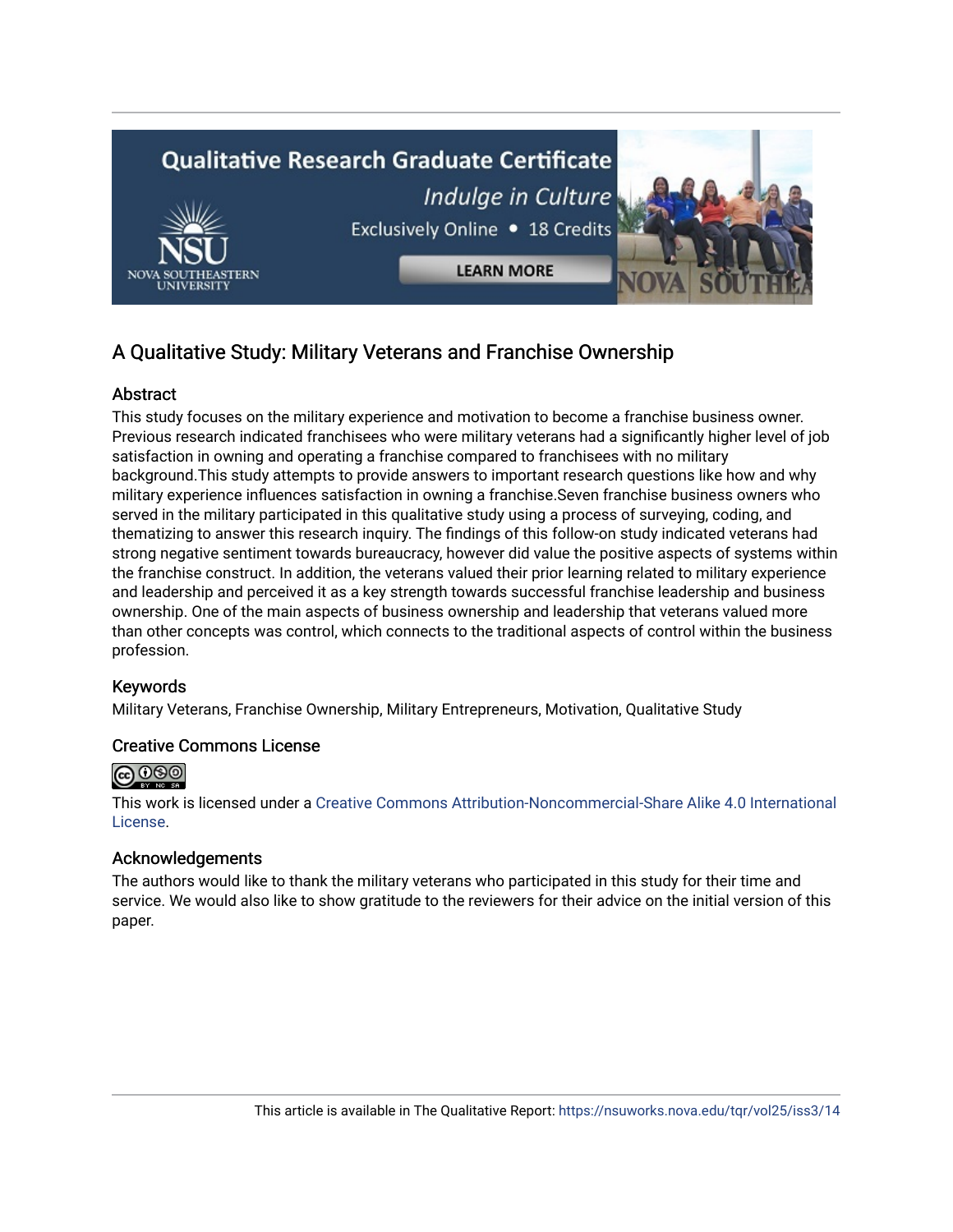

# A Qualitative Study: Military Veterans and Franchise Ownership

# **Abstract**

This study focuses on the military experience and motivation to become a franchise business owner. Previous research indicated franchisees who were military veterans had a significantly higher level of job satisfaction in owning and operating a franchise compared to franchisees with no military background.This study attempts to provide answers to important research questions like how and why military experience influences satisfaction in owning a franchise.Seven franchise business owners who served in the military participated in this qualitative study using a process of surveying, coding, and thematizing to answer this research inquiry. The findings of this follow-on study indicated veterans had strong negative sentiment towards bureaucracy, however did value the positive aspects of systems within the franchise construct. In addition, the veterans valued their prior learning related to military experience and leadership and perceived it as a key strength towards successful franchise leadership and business ownership. One of the main aspects of business ownership and leadership that veterans valued more than other concepts was control, which connects to the traditional aspects of control within the business profession.

# Keywords

Military Veterans, Franchise Ownership, Military Entrepreneurs, Motivation, Qualitative Study

## Creative Commons License



This work is licensed under a [Creative Commons Attribution-Noncommercial-Share Alike 4.0 International](https://creativecommons.org/licenses/by-nc-sa/4.0/)  [License](https://creativecommons.org/licenses/by-nc-sa/4.0/).

# Acknowledgements

The authors would like to thank the military veterans who participated in this study for their time and service. We would also like to show gratitude to the reviewers for their advice on the initial version of this paper.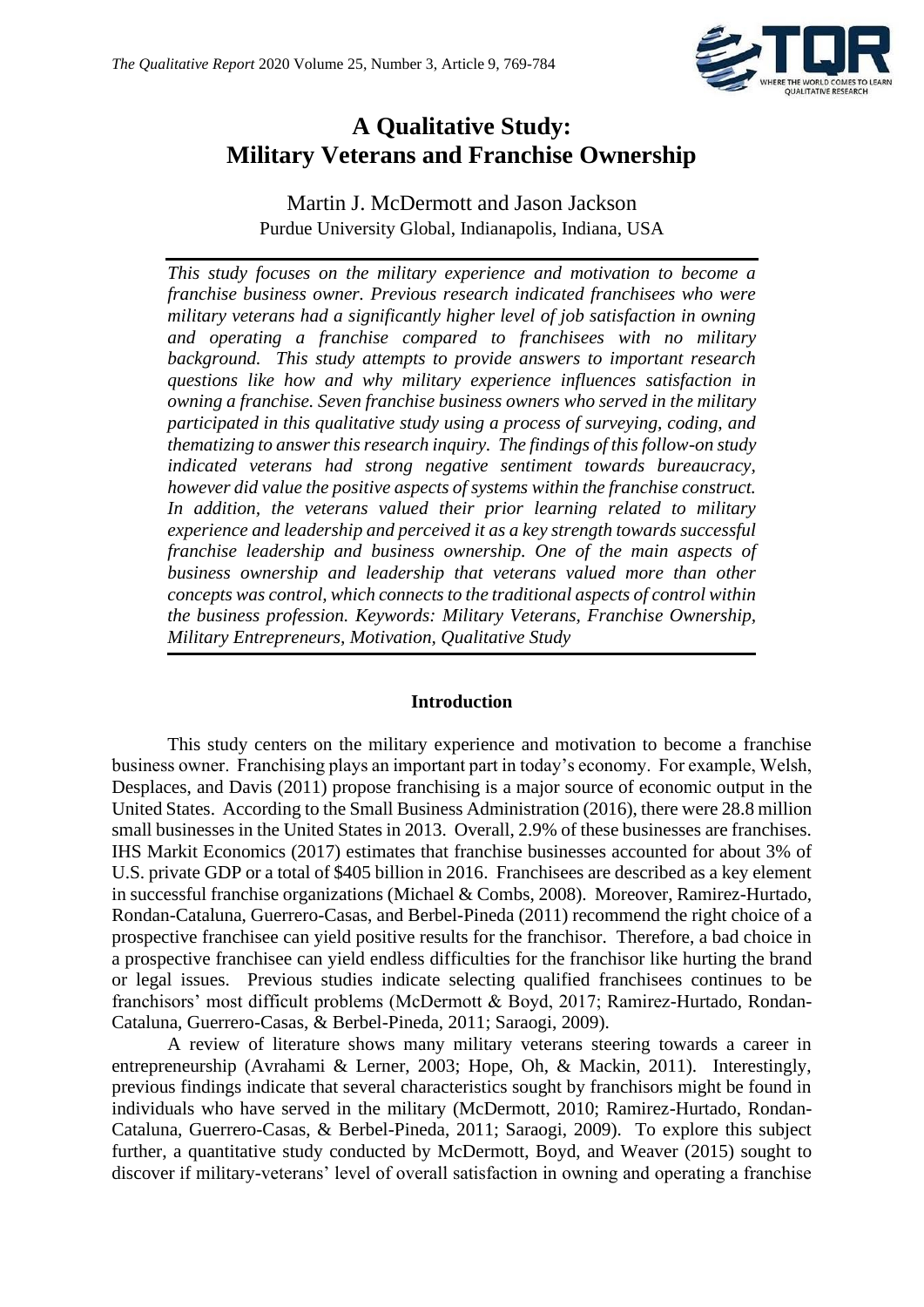

# **A Qualitative Study: Military Veterans and Franchise Ownership**

Martin J. McDermott and Jason Jackson Purdue University Global, Indianapolis, Indiana, USA

*This study focuses on the military experience and motivation to become a franchise business owner. Previous research indicated franchisees who were military veterans had a significantly higher level of job satisfaction in owning and operating a franchise compared to franchisees with no military background. This study attempts to provide answers to important research questions like how and why military experience influences satisfaction in owning a franchise. Seven franchise business owners who served in the military participated in this qualitative study using a process of surveying, coding, and thematizing to answer this research inquiry. The findings of this follow-on study indicated veterans had strong negative sentiment towards bureaucracy, however did value the positive aspects of systems within the franchise construct. In addition, the veterans valued their prior learning related to military experience and leadership and perceived it as a key strength towards successful franchise leadership and business ownership. One of the main aspects of business ownership and leadership that veterans valued more than other concepts was control, which connects to the traditional aspects of control within the business profession. Keywords: Military Veterans, Franchise Ownership, Military Entrepreneurs, Motivation, Qualitative Study* 

## **Introduction**

This study centers on the military experience and motivation to become a franchise business owner. Franchising plays an important part in today's economy. For example, Welsh, Desplaces, and Davis (2011) propose franchising is a major source of economic output in the United States. According to the Small Business Administration (2016), there were 28.8 million small businesses in the United States in 2013. Overall, 2.9% of these businesses are franchises. IHS Markit Economics (2017) estimates that franchise businesses accounted for about 3% of U.S. private GDP or a total of \$405 billion in 2016. Franchisees are described as a key element in successful franchise organizations (Michael & Combs, 2008). Moreover, Ramirez-Hurtado, Rondan-Cataluna, Guerrero-Casas, and Berbel-Pineda (2011) recommend the right choice of a prospective franchisee can yield positive results for the franchisor. Therefore, a bad choice in a prospective franchisee can yield endless difficulties for the franchisor like hurting the brand or legal issues. Previous studies indicate selecting qualified franchisees continues to be franchisors' most difficult problems (McDermott & Boyd, 2017; Ramirez-Hurtado, Rondan-Cataluna, Guerrero-Casas, & Berbel-Pineda, 2011; Saraogi, 2009).

A review of literature shows many military veterans steering towards a career in entrepreneurship (Avrahami & Lerner, 2003; Hope, Oh, & Mackin, 2011). Interestingly, previous findings indicate that several characteristics sought by franchisors might be found in individuals who have served in the military (McDermott, 2010; Ramirez-Hurtado, Rondan-Cataluna, Guerrero-Casas, & Berbel-Pineda, 2011; Saraogi, 2009). To explore this subject further, a quantitative study conducted by McDermott, Boyd, and Weaver (2015) sought to discover if military-veterans' level of overall satisfaction in owning and operating a franchise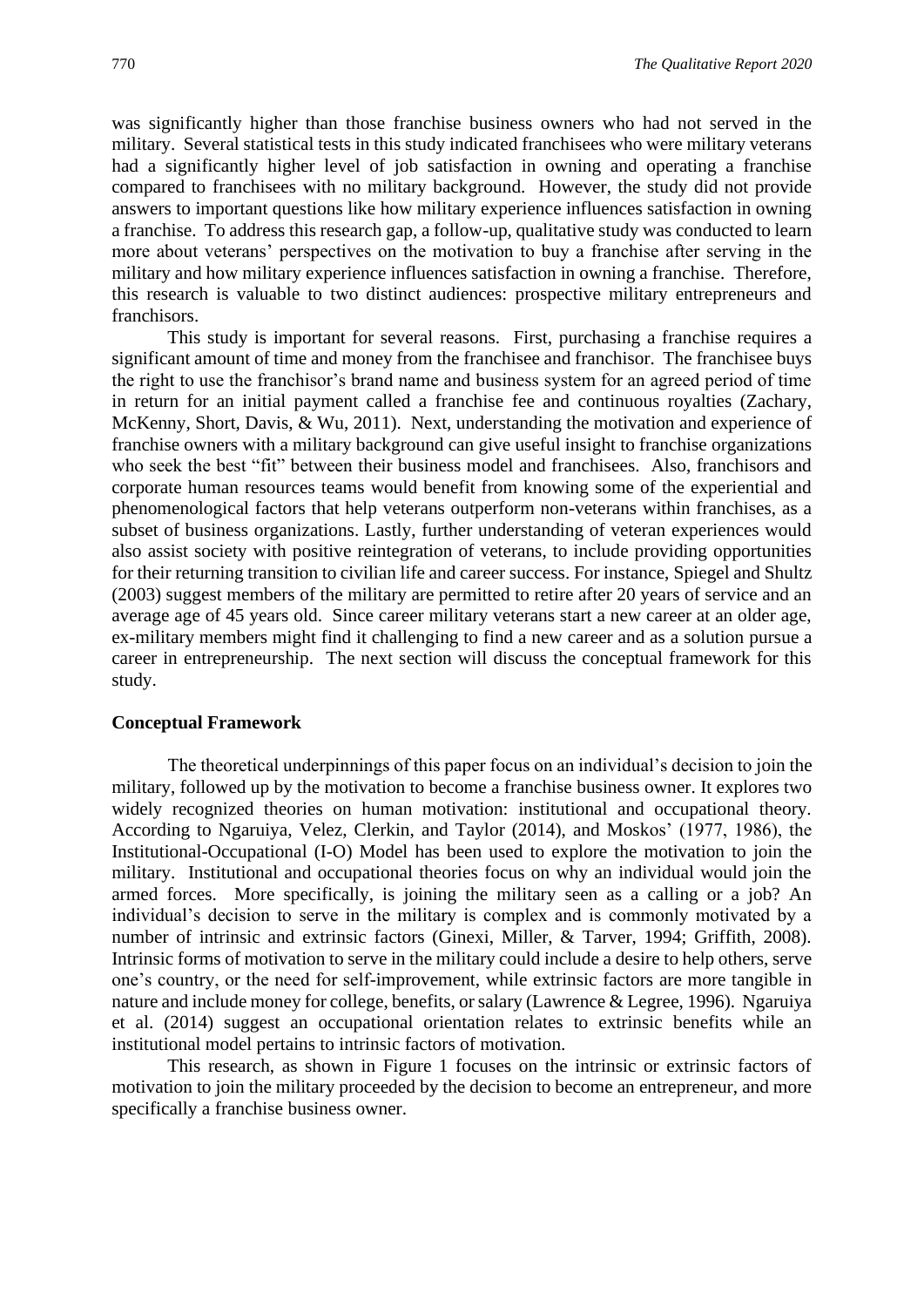was significantly higher than those franchise business owners who had not served in the military. Several statistical tests in this study indicated franchisees who were military veterans had a significantly higher level of job satisfaction in owning and operating a franchise compared to franchisees with no military background. However, the study did not provide answers to important questions like how military experience influences satisfaction in owning a franchise. To address this research gap, a follow-up, qualitative study was conducted to learn more about veterans' perspectives on the motivation to buy a franchise after serving in the military and how military experience influences satisfaction in owning a franchise. Therefore, this research is valuable to two distinct audiences: prospective military entrepreneurs and franchisors.

This study is important for several reasons. First, purchasing a franchise requires a significant amount of time and money from the franchisee and franchisor. The franchisee buys the right to use the franchisor's brand name and business system for an agreed period of time in return for an initial payment called a franchise fee and continuous royalties (Zachary, McKenny, Short, Davis, & Wu, 2011). Next, understanding the motivation and experience of franchise owners with a military background can give useful insight to franchise organizations who seek the best "fit" between their business model and franchisees. Also, franchisors and corporate human resources teams would benefit from knowing some of the experiential and phenomenological factors that help veterans outperform non-veterans within franchises, as a subset of business organizations. Lastly, further understanding of veteran experiences would also assist society with positive reintegration of veterans, to include providing opportunities for their returning transition to civilian life and career success. For instance, Spiegel and Shultz (2003) suggest members of the military are permitted to retire after 20 years of service and an average age of 45 years old. Since career military veterans start a new career at an older age, ex-military members might find it challenging to find a new career and as a solution pursue a career in entrepreneurship. The next section will discuss the conceptual framework for this study.

## **Conceptual Framework**

The theoretical underpinnings of this paper focus on an individual's decision to join the military, followed up by the motivation to become a franchise business owner. It explores two widely recognized theories on human motivation: institutional and occupational theory. According to Ngaruiya, Velez, Clerkin, and Taylor (2014), and Moskos' (1977, 1986), the Institutional-Occupational (I-O) Model has been used to explore the motivation to join the military. Institutional and occupational theories focus on why an individual would join the armed forces. More specifically, is joining the military seen as a calling or a job? An individual's decision to serve in the military is complex and is commonly motivated by a number of intrinsic and extrinsic factors (Ginexi, Miller, & Tarver, 1994; Griffith, 2008). Intrinsic forms of motivation to serve in the military could include a desire to help others, serve one's country, or the need for self-improvement, while extrinsic factors are more tangible in nature and include money for college, benefits, or salary (Lawrence & Legree, 1996). Ngaruiya et al. (2014) suggest an occupational orientation relates to extrinsic benefits while an institutional model pertains to intrinsic factors of motivation.

This research, as shown in Figure 1 focuses on the intrinsic or extrinsic factors of motivation to join the military proceeded by the decision to become an entrepreneur, and more specifically a franchise business owner.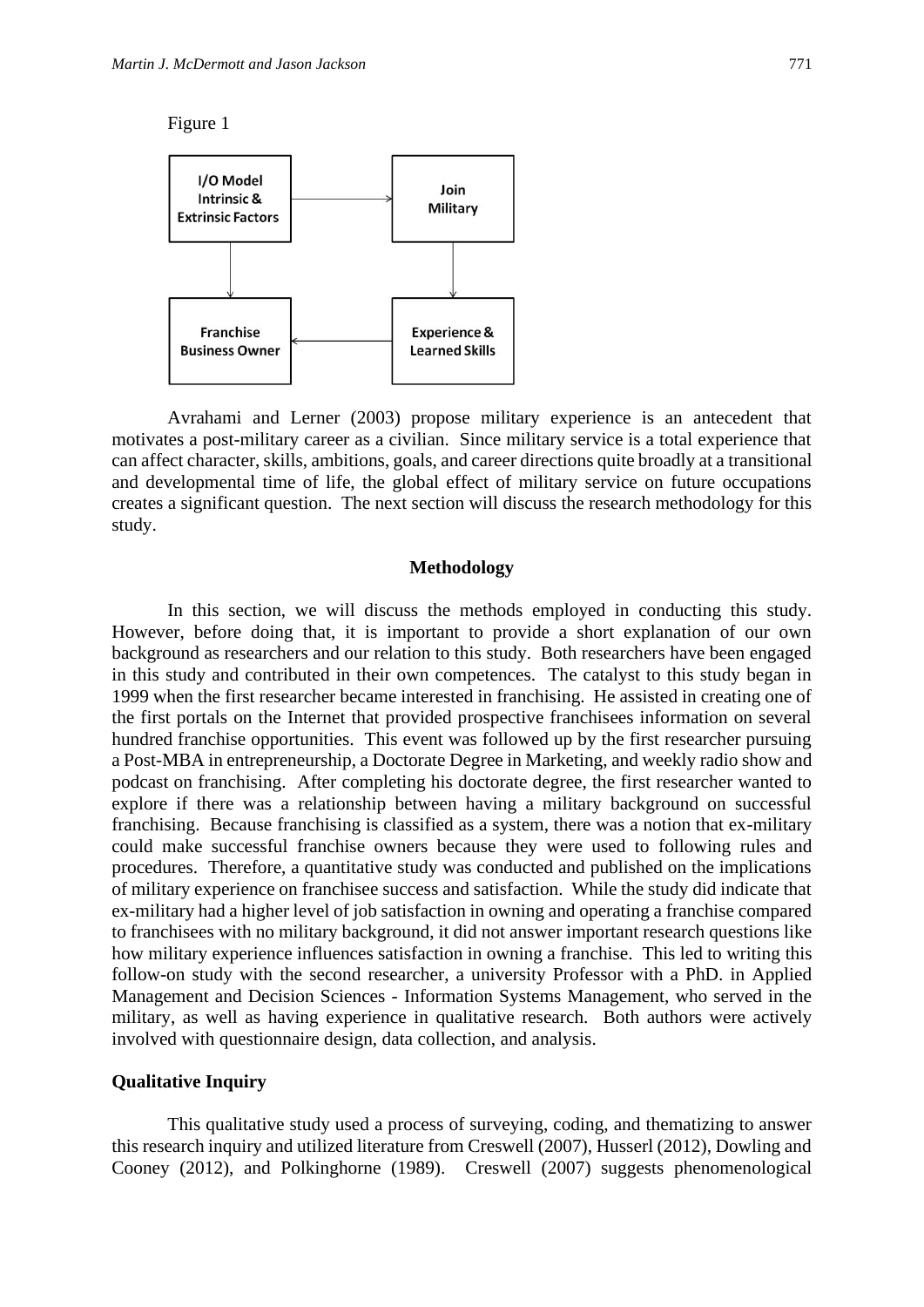Figure 1



Avrahami and Lerner (2003) propose military experience is an antecedent that motivates a post-military career as a civilian. Since military service is a total experience that can affect character, skills, ambitions, goals, and career directions quite broadly at a transitional and developmental time of life, the global effect of military service on future occupations creates a significant question. The next section will discuss the research methodology for this study.

#### **Methodology**

In this section, we will discuss the methods employed in conducting this study. However, before doing that, it is important to provide a short explanation of our own background as researchers and our relation to this study. Both researchers have been engaged in this study and contributed in their own competences. The catalyst to this study began in 1999 when the first researcher became interested in franchising. He assisted in creating one of the first portals on the Internet that provided prospective franchisees information on several hundred franchise opportunities. This event was followed up by the first researcher pursuing a Post-MBA in entrepreneurship, a Doctorate Degree in Marketing, and weekly radio show and podcast on franchising. After completing his doctorate degree, the first researcher wanted to explore if there was a relationship between having a military background on successful franchising. Because franchising is classified as a system, there was a notion that ex-military could make successful franchise owners because they were used to following rules and procedures. Therefore, a quantitative study was conducted and published on the implications of military experience on franchisee success and satisfaction. While the study did indicate that ex-military had a higher level of job satisfaction in owning and operating a franchise compared to franchisees with no military background, it did not answer important research questions like how military experience influences satisfaction in owning a franchise. This led to writing this follow-on study with the second researcher, a university Professor with a PhD. in Applied Management and Decision Sciences - Information Systems Management, who served in the military, as well as having experience in qualitative research. Both authors were actively involved with questionnaire design, data collection, and analysis.

## **Qualitative Inquiry**

This qualitative study used a process of surveying, coding, and thematizing to answer this research inquiry and utilized literature from Creswell (2007), Husserl (2012), Dowling and Cooney (2012), and Polkinghorne (1989). Creswell (2007) suggests phenomenological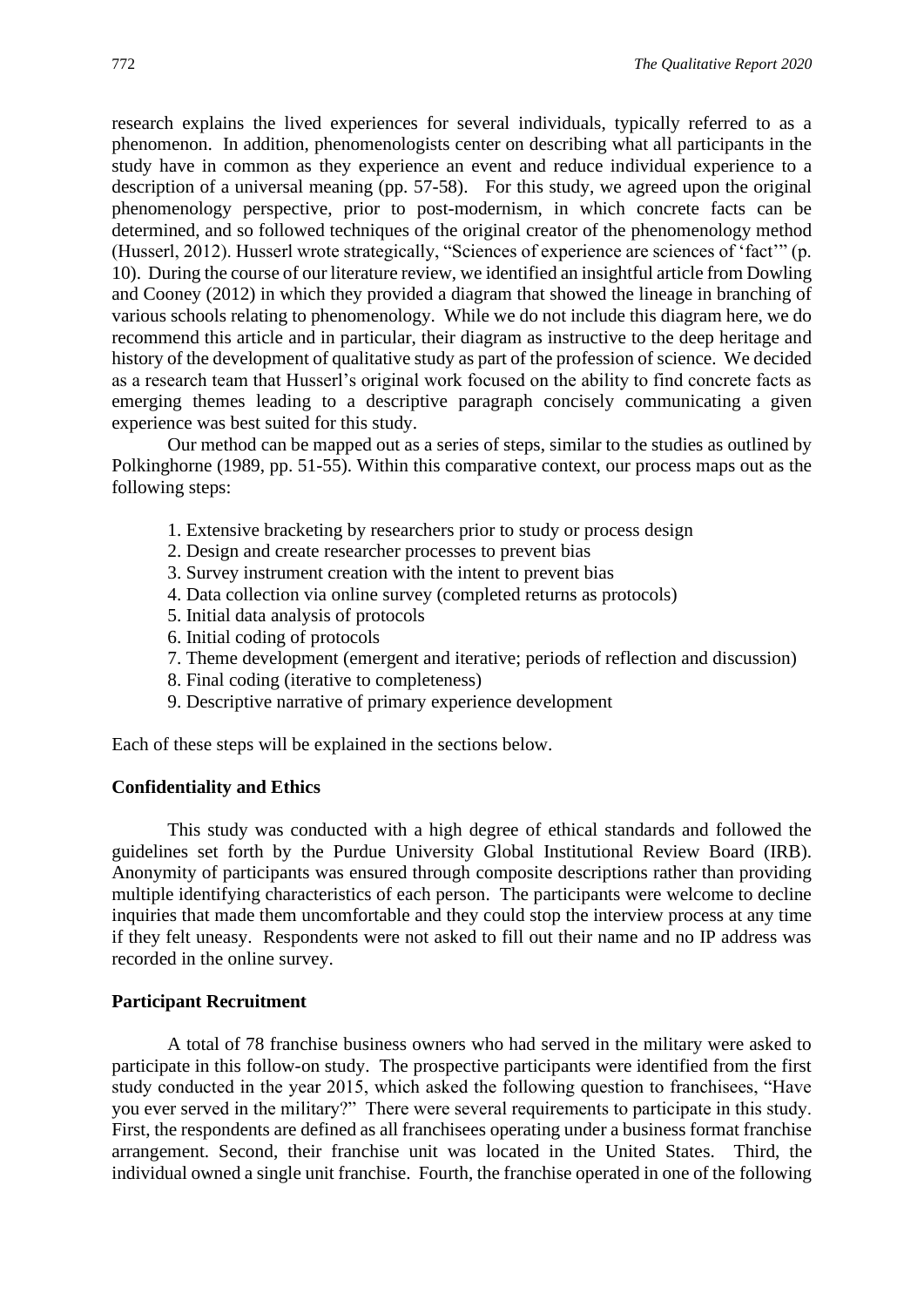research explains the lived experiences for several individuals, typically referred to as a phenomenon. In addition, phenomenologists center on describing what all participants in the study have in common as they experience an event and reduce individual experience to a description of a universal meaning (pp. 57-58). For this study, we agreed upon the original phenomenology perspective, prior to post-modernism, in which concrete facts can be determined, and so followed techniques of the original creator of the phenomenology method (Husserl, 2012). Husserl wrote strategically, "Sciences of experience are sciences of 'fact'" (p. 10). During the course of our literature review, we identified an insightful article from Dowling and Cooney (2012) in which they provided a diagram that showed the lineage in branching of various schools relating to phenomenology. While we do not include this diagram here, we do recommend this article and in particular, their diagram as instructive to the deep heritage and history of the development of qualitative study as part of the profession of science. We decided as a research team that Husserl's original work focused on the ability to find concrete facts as emerging themes leading to a descriptive paragraph concisely communicating a given experience was best suited for this study.

Our method can be mapped out as a series of steps, similar to the studies as outlined by Polkinghorne (1989, pp. 51-55). Within this comparative context, our process maps out as the following steps:

- 1. Extensive bracketing by researchers prior to study or process design
- 2. Design and create researcher processes to prevent bias
- 3. Survey instrument creation with the intent to prevent bias
- 4. Data collection via online survey (completed returns as protocols)
- 5. Initial data analysis of protocols
- 6. Initial coding of protocols
- 7. Theme development (emergent and iterative; periods of reflection and discussion)
- 8. Final coding (iterative to completeness)
- 9. Descriptive narrative of primary experience development

Each of these steps will be explained in the sections below.

## **Confidentiality and Ethics**

This study was conducted with a high degree of ethical standards and followed the guidelines set forth by the Purdue University Global Institutional Review Board (IRB). Anonymity of participants was ensured through composite descriptions rather than providing multiple identifying characteristics of each person. The participants were welcome to decline inquiries that made them uncomfortable and they could stop the interview process at any time if they felt uneasy. Respondents were not asked to fill out their name and no IP address was recorded in the online survey.

## **Participant Recruitment**

A total of 78 franchise business owners who had served in the military were asked to participate in this follow-on study. The prospective participants were identified from the first study conducted in the year 2015, which asked the following question to franchisees, "Have you ever served in the military?" There were several requirements to participate in this study. First, the respondents are defined as all franchisees operating under a business format franchise arrangement. Second, their franchise unit was located in the United States. Third, the individual owned a single unit franchise. Fourth, the franchise operated in one of the following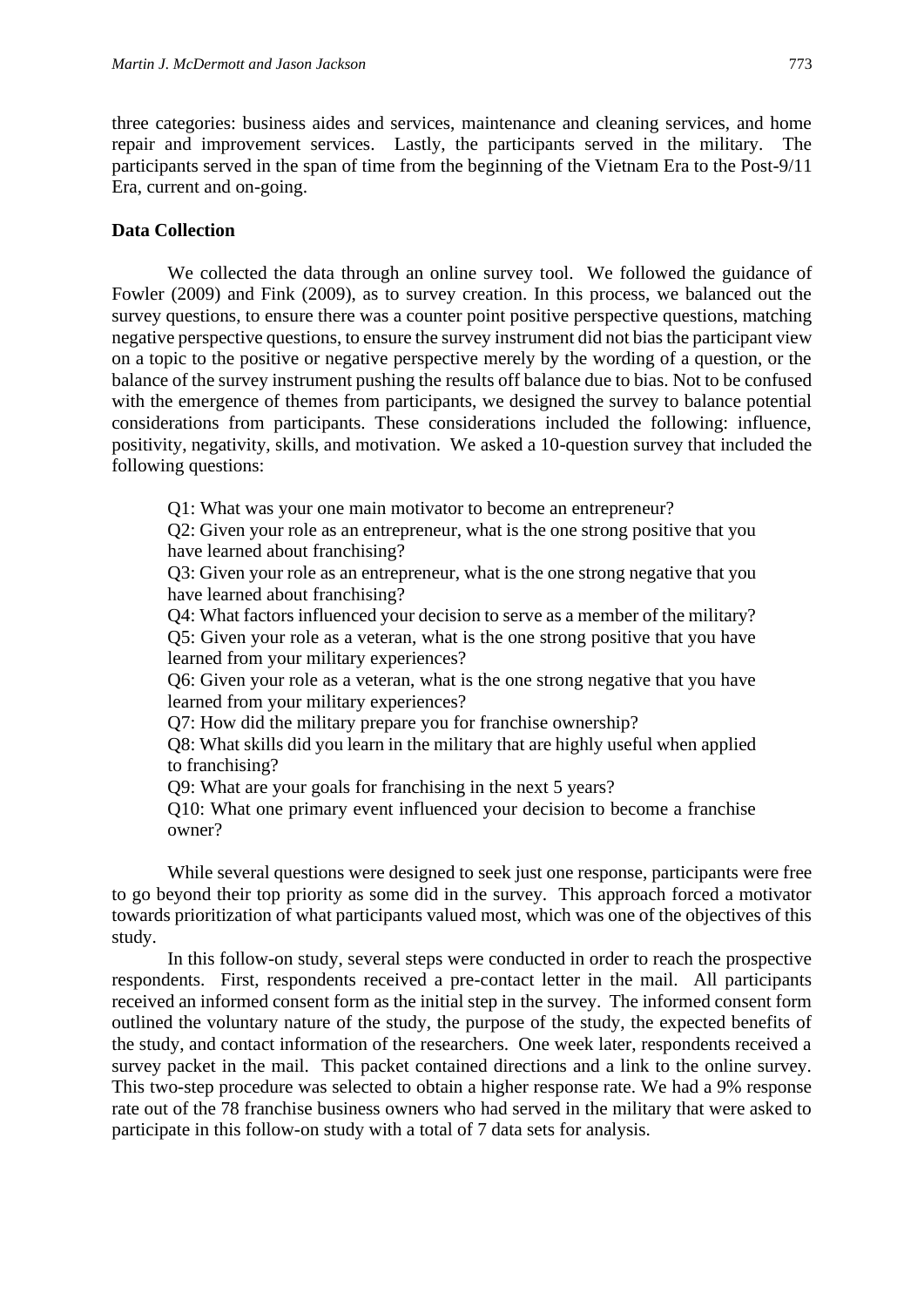three categories: business aides and services, maintenance and cleaning services, and home repair and improvement services. Lastly, the participants served in the military. The participants served in the span of time from the beginning of the Vietnam Era to the Post-9/11 Era, current and on-going.

# **Data Collection**

We collected the data through an online survey tool. We followed the guidance of Fowler (2009) and Fink (2009), as to survey creation. In this process, we balanced out the survey questions, to ensure there was a counter point positive perspective questions, matching negative perspective questions, to ensure the survey instrument did not bias the participant view on a topic to the positive or negative perspective merely by the wording of a question, or the balance of the survey instrument pushing the results off balance due to bias. Not to be confused with the emergence of themes from participants, we designed the survey to balance potential considerations from participants. These considerations included the following: influence, positivity, negativity, skills, and motivation. We asked a 10-question survey that included the following questions:

Q1: What was your one main motivator to become an entrepreneur?

Q2: Given your role as an entrepreneur, what is the one strong positive that you have learned about franchising?

Q3: Given your role as an entrepreneur, what is the one strong negative that you have learned about franchising?

Q4: What factors influenced your decision to serve as a member of the military? Q5: Given your role as a veteran, what is the one strong positive that you have learned from your military experiences?

Q6: Given your role as a veteran, what is the one strong negative that you have learned from your military experiences?

Q7: How did the military prepare you for franchise ownership?

Q8: What skills did you learn in the military that are highly useful when applied to franchising?

Q9: What are your goals for franchising in the next 5 years?

Q10: What one primary event influenced your decision to become a franchise owner?

While several questions were designed to seek just one response, participants were free to go beyond their top priority as some did in the survey. This approach forced a motivator towards prioritization of what participants valued most, which was one of the objectives of this study.

In this follow-on study, several steps were conducted in order to reach the prospective respondents. First, respondents received a pre-contact letter in the mail. All participants received an informed consent form as the initial step in the survey. The informed consent form outlined the voluntary nature of the study, the purpose of the study, the expected benefits of the study, and contact information of the researchers. One week later, respondents received a survey packet in the mail. This packet contained directions and a link to the online survey. This two-step procedure was selected to obtain a higher response rate. We had a 9% response rate out of the 78 franchise business owners who had served in the military that were asked to participate in this follow-on study with a total of 7 data sets for analysis.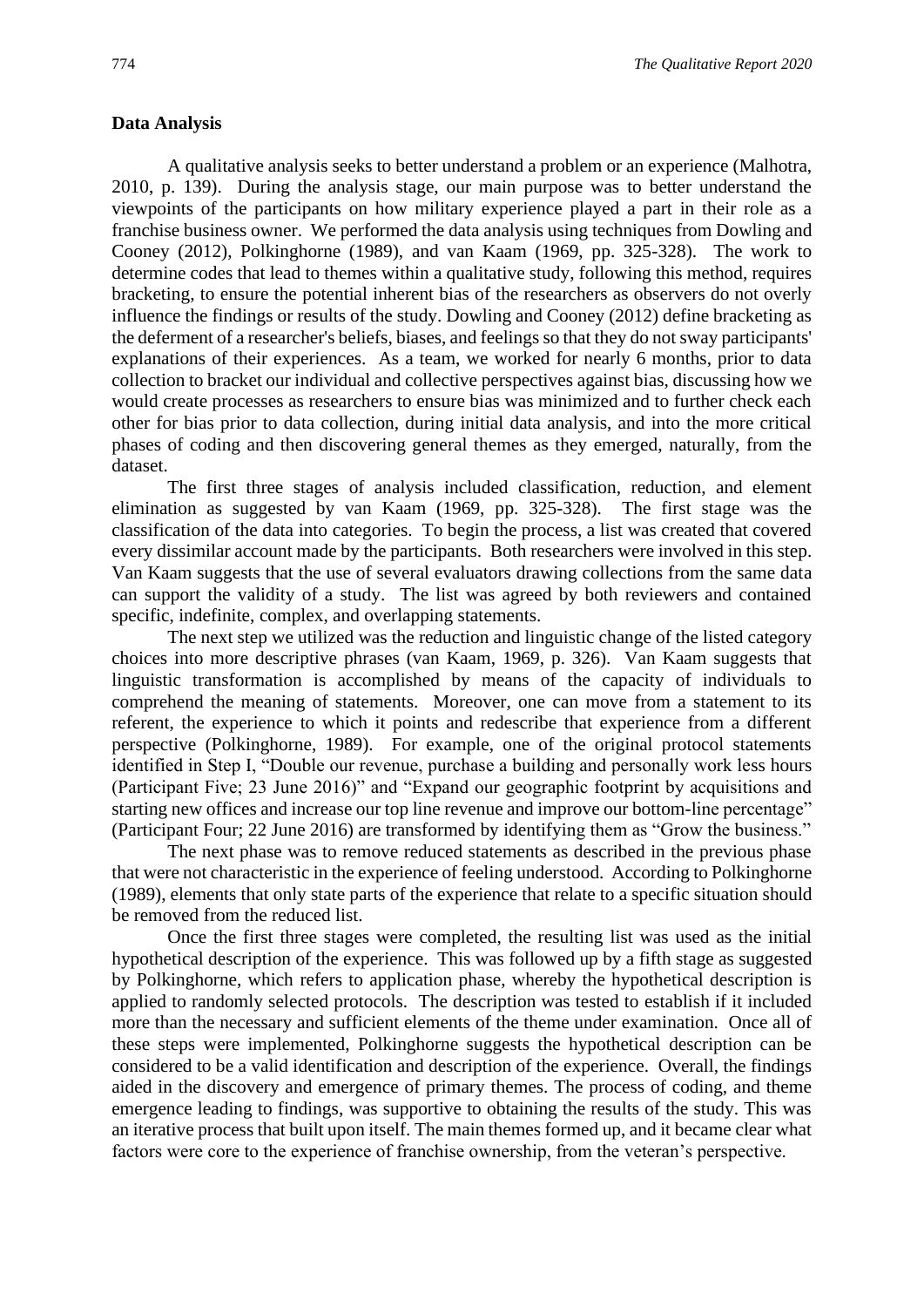## **Data Analysis**

A qualitative analysis seeks to better understand a problem or an experience (Malhotra, 2010, p. 139). During the analysis stage, our main purpose was to better understand the viewpoints of the participants on how military experience played a part in their role as a franchise business owner. We performed the data analysis using techniques from Dowling and Cooney (2012), Polkinghorne (1989), and van Kaam (1969, pp. 325-328). The work to determine codes that lead to themes within a qualitative study, following this method, requires bracketing, to ensure the potential inherent bias of the researchers as observers do not overly influence the findings or results of the study. Dowling and Cooney (2012) define bracketing as the deferment of a researcher's beliefs, biases, and feelings so that they do not sway participants' explanations of their experiences. As a team, we worked for nearly 6 months, prior to data collection to bracket our individual and collective perspectives against bias, discussing how we would create processes as researchers to ensure bias was minimized and to further check each other for bias prior to data collection, during initial data analysis, and into the more critical phases of coding and then discovering general themes as they emerged, naturally, from the dataset.

The first three stages of analysis included classification, reduction, and element elimination as suggested by van Kaam (1969, pp. 325-328). The first stage was the classification of the data into categories. To begin the process, a list was created that covered every dissimilar account made by the participants. Both researchers were involved in this step. Van Kaam suggests that the use of several evaluators drawing collections from the same data can support the validity of a study. The list was agreed by both reviewers and contained specific, indefinite, complex, and overlapping statements.

The next step we utilized was the reduction and linguistic change of the listed category choices into more descriptive phrases (van Kaam, 1969, p. 326). Van Kaam suggests that linguistic transformation is accomplished by means of the capacity of individuals to comprehend the meaning of statements. Moreover, one can move from a statement to its referent, the experience to which it points and redescribe that experience from a different perspective (Polkinghorne, 1989). For example, one of the original protocol statements identified in Step I, "Double our revenue, purchase a building and personally work less hours (Participant Five; 23 June 2016)" and "Expand our geographic footprint by acquisitions and starting new offices and increase our top line revenue and improve our bottom-line percentage" (Participant Four; 22 June 2016) are transformed by identifying them as "Grow the business."

The next phase was to remove reduced statements as described in the previous phase that were not characteristic in the experience of feeling understood. According to Polkinghorne (1989), elements that only state parts of the experience that relate to a specific situation should be removed from the reduced list.

Once the first three stages were completed, the resulting list was used as the initial hypothetical description of the experience. This was followed up by a fifth stage as suggested by Polkinghorne, which refers to application phase, whereby the hypothetical description is applied to randomly selected protocols. The description was tested to establish if it included more than the necessary and sufficient elements of the theme under examination. Once all of these steps were implemented, Polkinghorne suggests the hypothetical description can be considered to be a valid identification and description of the experience. Overall, the findings aided in the discovery and emergence of primary themes. The process of coding, and theme emergence leading to findings, was supportive to obtaining the results of the study. This was an iterative process that built upon itself. The main themes formed up, and it became clear what factors were core to the experience of franchise ownership, from the veteran's perspective.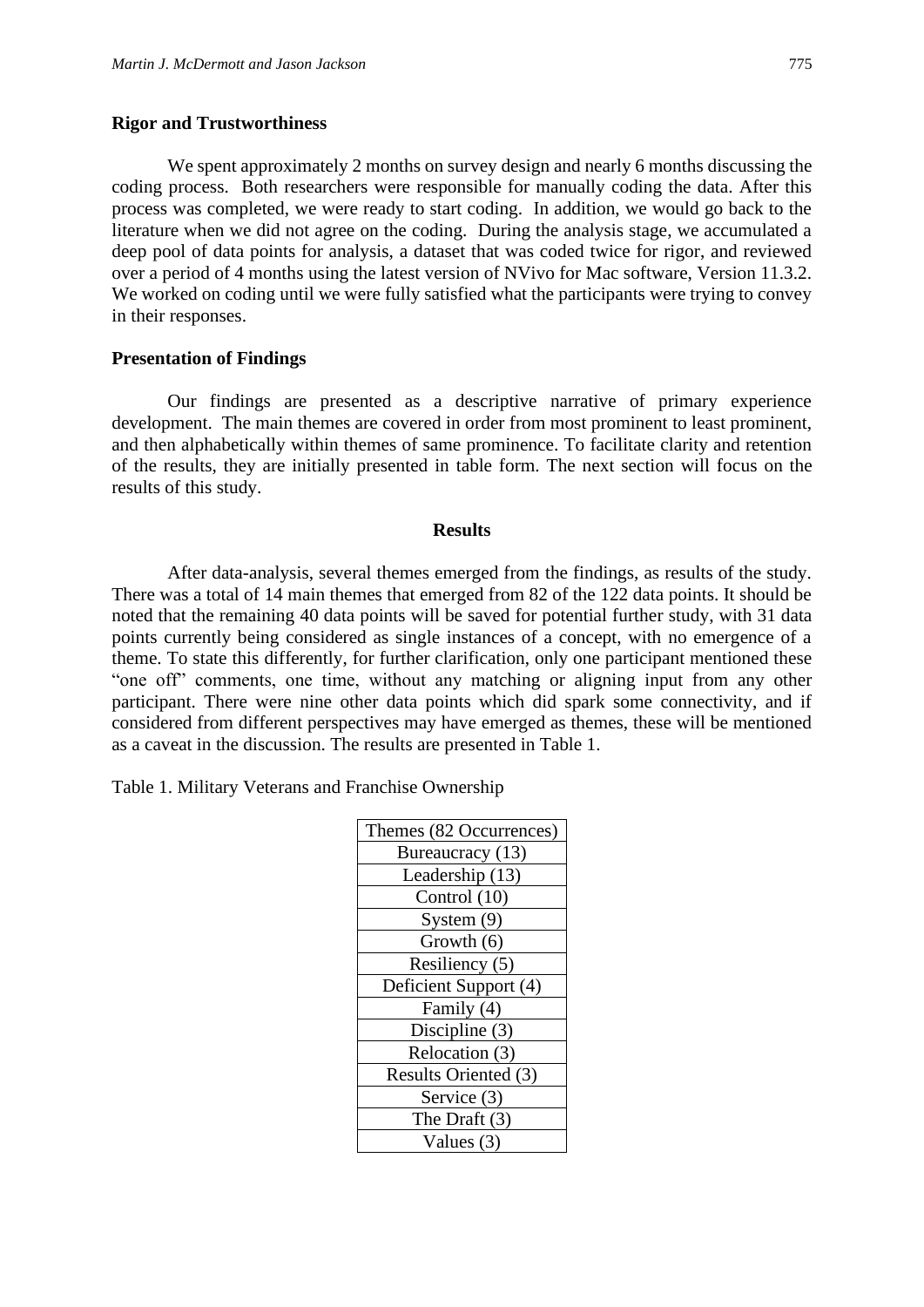## **Rigor and Trustworthiness**

We spent approximately 2 months on survey design and nearly 6 months discussing the coding process. Both researchers were responsible for manually coding the data. After this process was completed, we were ready to start coding. In addition, we would go back to the literature when we did not agree on the coding. During the analysis stage, we accumulated a deep pool of data points for analysis, a dataset that was coded twice for rigor, and reviewed over a period of 4 months using the latest version of NVivo for Mac software, Version 11.3.2. We worked on coding until we were fully satisfied what the participants were trying to convey in their responses.

## **Presentation of Findings**

Our findings are presented as a descriptive narrative of primary experience development. The main themes are covered in order from most prominent to least prominent, and then alphabetically within themes of same prominence. To facilitate clarity and retention of the results, they are initially presented in table form. The next section will focus on the results of this study.

#### **Results**

After data-analysis, several themes emerged from the findings, as results of the study. There was a total of 14 main themes that emerged from 82 of the 122 data points. It should be noted that the remaining 40 data points will be saved for potential further study, with 31 data points currently being considered as single instances of a concept, with no emergence of a theme. To state this differently, for further clarification, only one participant mentioned these "one off" comments, one time, without any matching or aligning input from any other participant. There were nine other data points which did spark some connectivity, and if considered from different perspectives may have emerged as themes, these will be mentioned as a caveat in the discussion. The results are presented in Table 1.

Table 1. Military Veterans and Franchise Ownership

| Themes (82 Occurrences) |
|-------------------------|
| Bureaucracy (13)        |
| Leadership (13)         |
| Control (10)            |
| System $(9)$            |
| Growth (6)              |
| Resiliency (5)          |
| Deficient Support (4)   |
| Family (4)              |
| Discipline (3)          |
| Relocation (3)          |
| Results Oriented (3)    |
| Service (3)             |
| The Draft $(3)$         |
| Values $(3)$            |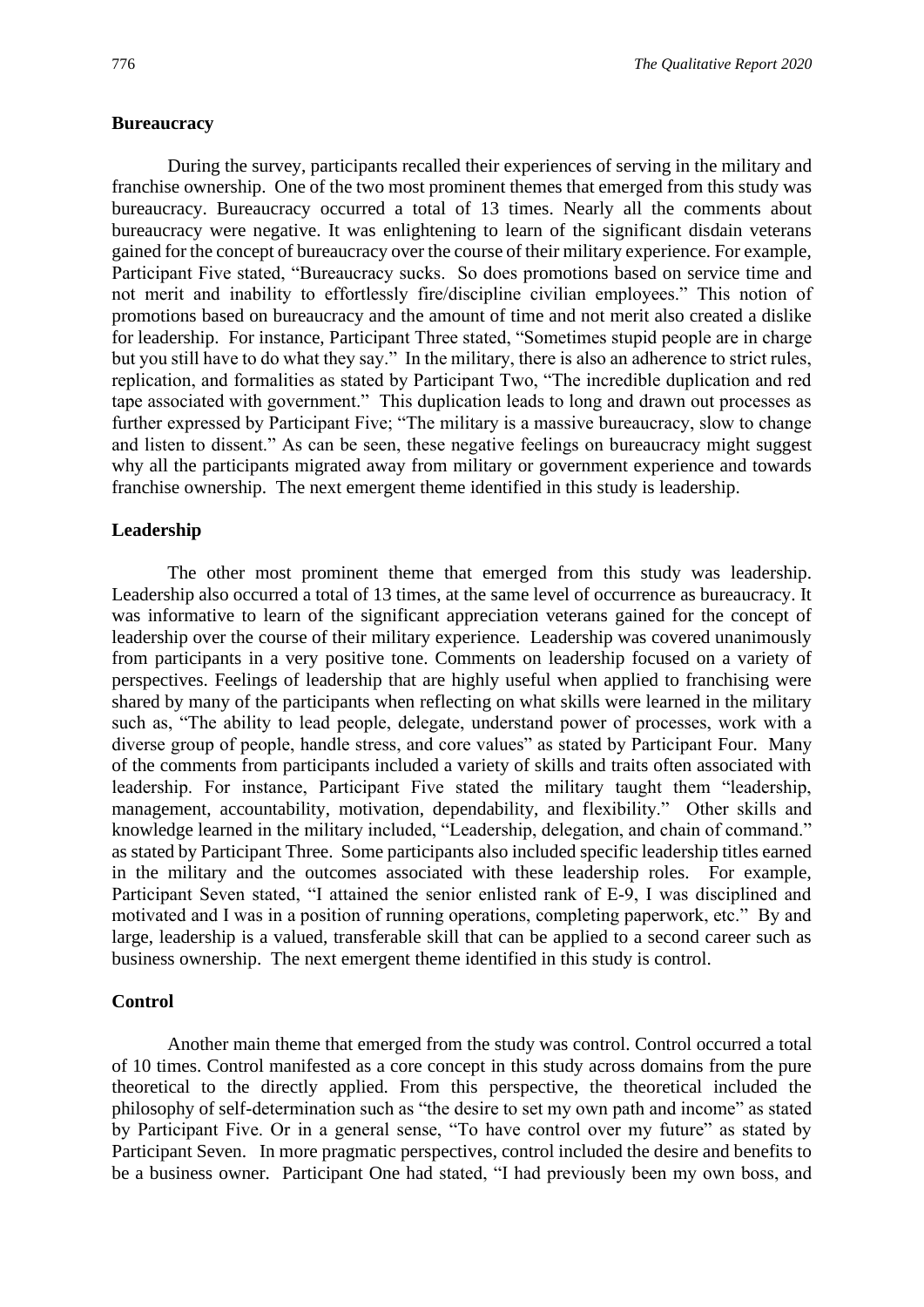#### **Bureaucracy**

During the survey, participants recalled their experiences of serving in the military and franchise ownership. One of the two most prominent themes that emerged from this study was bureaucracy. Bureaucracy occurred a total of 13 times. Nearly all the comments about bureaucracy were negative. It was enlightening to learn of the significant disdain veterans gained for the concept of bureaucracy over the course of their military experience. For example, Participant Five stated, "Bureaucracy sucks. So does promotions based on service time and not merit and inability to effortlessly fire/discipline civilian employees." This notion of promotions based on bureaucracy and the amount of time and not merit also created a dislike for leadership. For instance, Participant Three stated, "Sometimes stupid people are in charge but you still have to do what they say." In the military, there is also an adherence to strict rules, replication, and formalities as stated by Participant Two, "The incredible duplication and red tape associated with government." This duplication leads to long and drawn out processes as further expressed by Participant Five; "The military is a massive bureaucracy, slow to change and listen to dissent." As can be seen, these negative feelings on bureaucracy might suggest why all the participants migrated away from military or government experience and towards franchise ownership. The next emergent theme identified in this study is leadership.

#### **Leadership**

The other most prominent theme that emerged from this study was leadership. Leadership also occurred a total of 13 times, at the same level of occurrence as bureaucracy. It was informative to learn of the significant appreciation veterans gained for the concept of leadership over the course of their military experience. Leadership was covered unanimously from participants in a very positive tone. Comments on leadership focused on a variety of perspectives. Feelings of leadership that are highly useful when applied to franchising were shared by many of the participants when reflecting on what skills were learned in the military such as, "The ability to lead people, delegate, understand power of processes, work with a diverse group of people, handle stress, and core values" as stated by Participant Four. Many of the comments from participants included a variety of skills and traits often associated with leadership. For instance, Participant Five stated the military taught them "leadership, management, accountability, motivation, dependability, and flexibility." Other skills and knowledge learned in the military included, "Leadership, delegation, and chain of command." as stated by Participant Three. Some participants also included specific leadership titles earned in the military and the outcomes associated with these leadership roles. For example, Participant Seven stated, "I attained the senior enlisted rank of E-9, I was disciplined and motivated and I was in a position of running operations, completing paperwork, etc." By and large, leadership is a valued, transferable skill that can be applied to a second career such as business ownership. The next emergent theme identified in this study is control.

#### **Control**

Another main theme that emerged from the study was control. Control occurred a total of 10 times. Control manifested as a core concept in this study across domains from the pure theoretical to the directly applied. From this perspective, the theoretical included the philosophy of self-determination such as "the desire to set my own path and income" as stated by Participant Five. Or in a general sense, "To have control over my future" as stated by Participant Seven. In more pragmatic perspectives, control included the desire and benefits to be a business owner. Participant One had stated, "I had previously been my own boss, and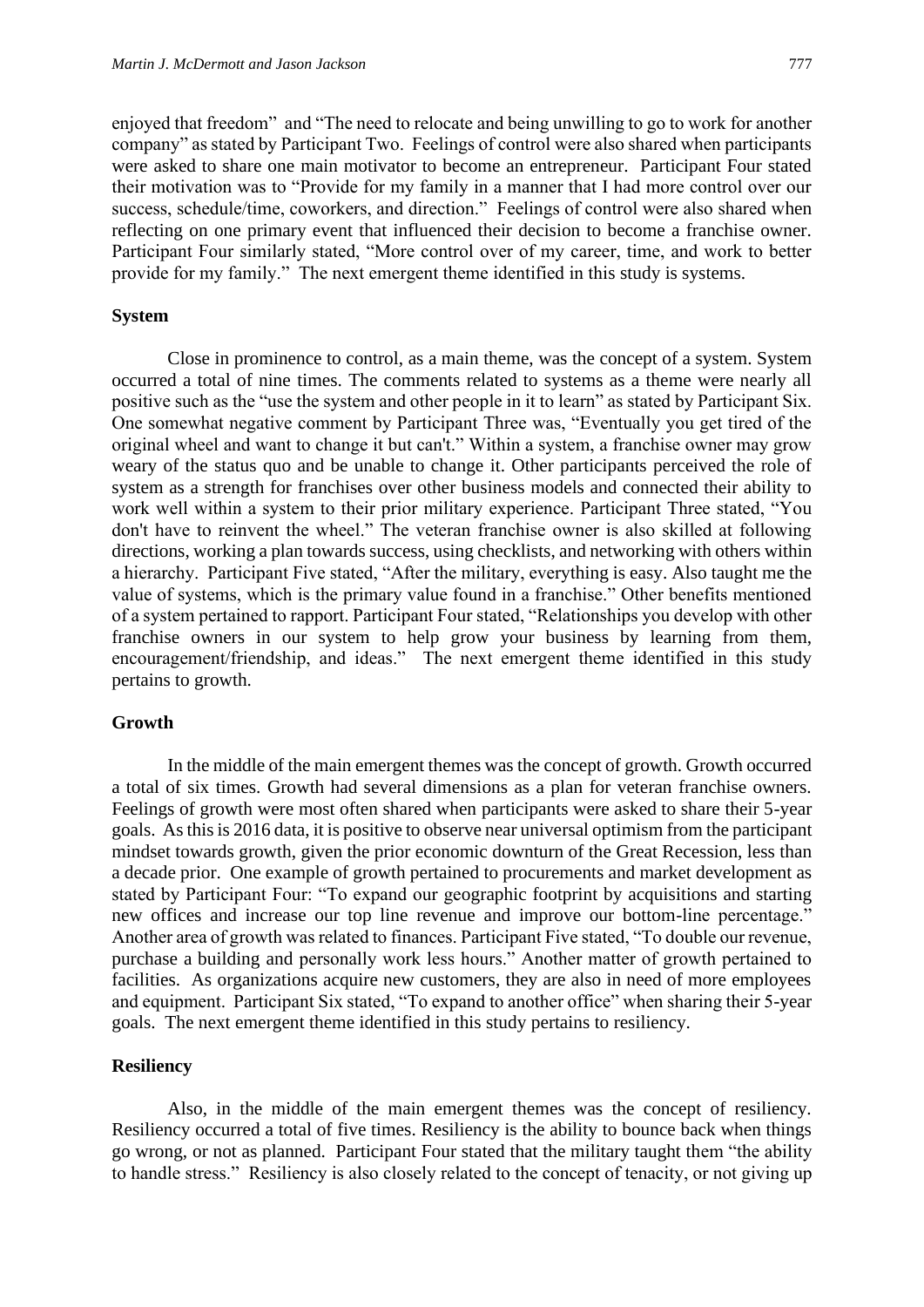enjoyed that freedom" and "The need to relocate and being unwilling to go to work for another company" as stated by Participant Two. Feelings of control were also shared when participants were asked to share one main motivator to become an entrepreneur. Participant Four stated their motivation was to "Provide for my family in a manner that I had more control over our success, schedule/time, coworkers, and direction." Feelings of control were also shared when reflecting on one primary event that influenced their decision to become a franchise owner. Participant Four similarly stated, "More control over of my career, time, and work to better provide for my family." The next emergent theme identified in this study is systems.

## **System**

Close in prominence to control, as a main theme, was the concept of a system. System occurred a total of nine times. The comments related to systems as a theme were nearly all positive such as the "use the system and other people in it to learn" as stated by Participant Six. One somewhat negative comment by Participant Three was, "Eventually you get tired of the original wheel and want to change it but can't." Within a system, a franchise owner may grow weary of the status quo and be unable to change it. Other participants perceived the role of system as a strength for franchises over other business models and connected their ability to work well within a system to their prior military experience. Participant Three stated, "You don't have to reinvent the wheel." The veteran franchise owner is also skilled at following directions, working a plan towards success, using checklists, and networking with others within a hierarchy. Participant Five stated, "After the military, everything is easy. Also taught me the value of systems, which is the primary value found in a franchise." Other benefits mentioned of a system pertained to rapport. Participant Four stated, "Relationships you develop with other franchise owners in our system to help grow your business by learning from them, encouragement/friendship, and ideas." The next emergent theme identified in this study pertains to growth.

## **Growth**

In the middle of the main emergent themes was the concept of growth. Growth occurred a total of six times. Growth had several dimensions as a plan for veteran franchise owners. Feelings of growth were most often shared when participants were asked to share their 5-year goals. As this is 2016 data, it is positive to observe near universal optimism from the participant mindset towards growth, given the prior economic downturn of the Great Recession, less than a decade prior. One example of growth pertained to procurements and market development as stated by Participant Four: "To expand our geographic footprint by acquisitions and starting new offices and increase our top line revenue and improve our bottom-line percentage." Another area of growth was related to finances. Participant Five stated, "To double our revenue, purchase a building and personally work less hours." Another matter of growth pertained to facilities. As organizations acquire new customers, they are also in need of more employees and equipment. Participant Six stated, "To expand to another office" when sharing their 5-year goals. The next emergent theme identified in this study pertains to resiliency.

## **Resiliency**

Also, in the middle of the main emergent themes was the concept of resiliency. Resiliency occurred a total of five times. Resiliency is the ability to bounce back when things go wrong, or not as planned. Participant Four stated that the military taught them "the ability to handle stress." Resiliency is also closely related to the concept of tenacity, or not giving up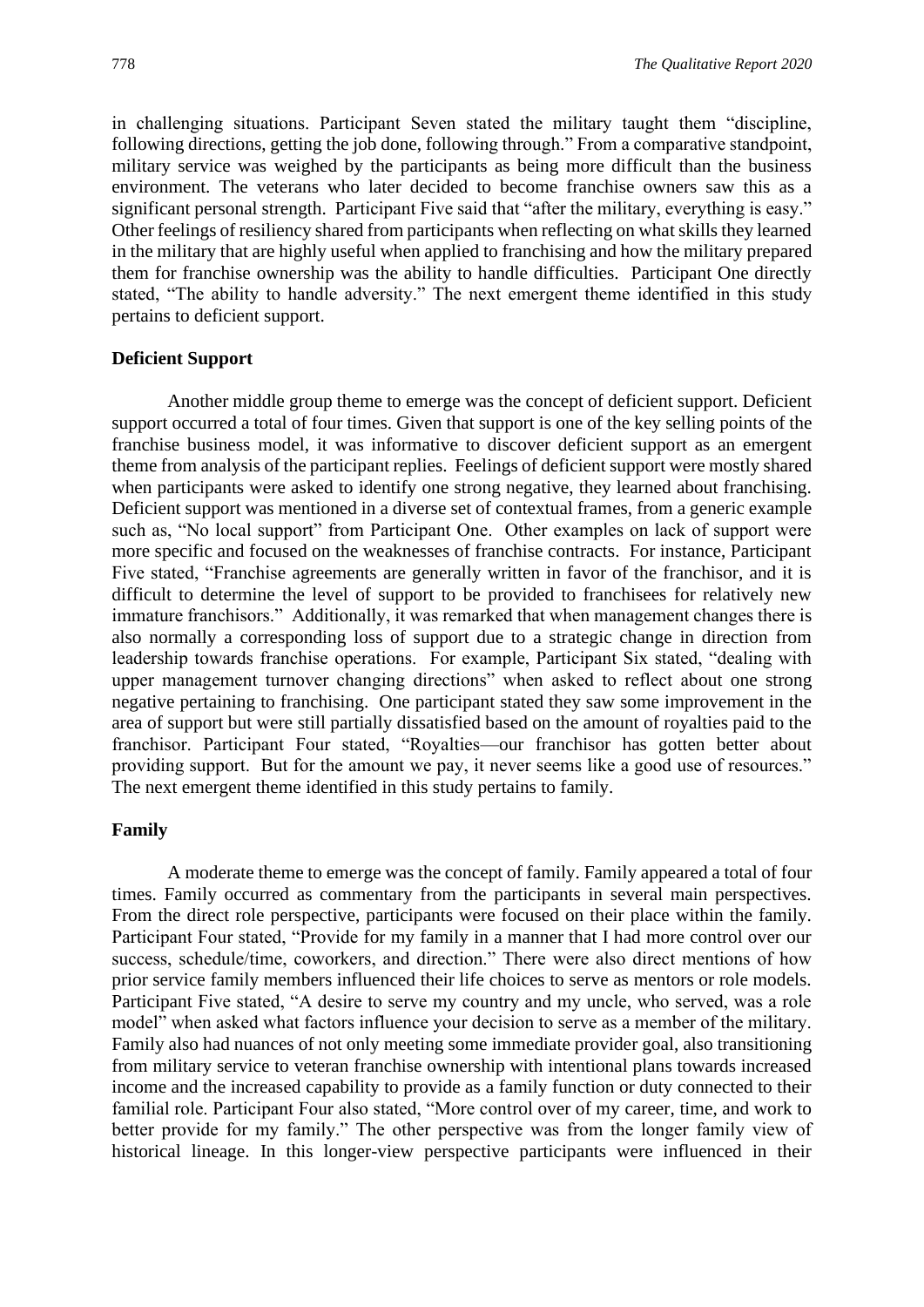in challenging situations. Participant Seven stated the military taught them "discipline, following directions, getting the job done, following through." From a comparative standpoint, military service was weighed by the participants as being more difficult than the business environment. The veterans who later decided to become franchise owners saw this as a significant personal strength. Participant Five said that "after the military, everything is easy." Other feelings of resiliency shared from participants when reflecting on what skills they learned in the military that are highly useful when applied to franchising and how the military prepared them for franchise ownership was the ability to handle difficulties. Participant One directly stated, "The ability to handle adversity." The next emergent theme identified in this study pertains to deficient support.

## **Deficient Support**

Another middle group theme to emerge was the concept of deficient support. Deficient support occurred a total of four times. Given that support is one of the key selling points of the franchise business model, it was informative to discover deficient support as an emergent theme from analysis of the participant replies. Feelings of deficient support were mostly shared when participants were asked to identify one strong negative, they learned about franchising. Deficient support was mentioned in a diverse set of contextual frames, from a generic example such as, "No local support" from Participant One. Other examples on lack of support were more specific and focused on the weaknesses of franchise contracts. For instance, Participant Five stated, "Franchise agreements are generally written in favor of the franchisor, and it is difficult to determine the level of support to be provided to franchisees for relatively new immature franchisors." Additionally, it was remarked that when management changes there is also normally a corresponding loss of support due to a strategic change in direction from leadership towards franchise operations. For example, Participant Six stated, "dealing with upper management turnover changing directions" when asked to reflect about one strong negative pertaining to franchising. One participant stated they saw some improvement in the area of support but were still partially dissatisfied based on the amount of royalties paid to the franchisor. Participant Four stated, "Royalties—our franchisor has gotten better about providing support. But for the amount we pay, it never seems like a good use of resources." The next emergent theme identified in this study pertains to family.

## **Family**

A moderate theme to emerge was the concept of family. Family appeared a total of four times. Family occurred as commentary from the participants in several main perspectives. From the direct role perspective, participants were focused on their place within the family. Participant Four stated, "Provide for my family in a manner that I had more control over our success, schedule/time, coworkers, and direction." There were also direct mentions of how prior service family members influenced their life choices to serve as mentors or role models. Participant Five stated, "A desire to serve my country and my uncle, who served, was a role model" when asked what factors influence your decision to serve as a member of the military. Family also had nuances of not only meeting some immediate provider goal, also transitioning from military service to veteran franchise ownership with intentional plans towards increased income and the increased capability to provide as a family function or duty connected to their familial role. Participant Four also stated, "More control over of my career, time, and work to better provide for my family." The other perspective was from the longer family view of historical lineage. In this longer-view perspective participants were influenced in their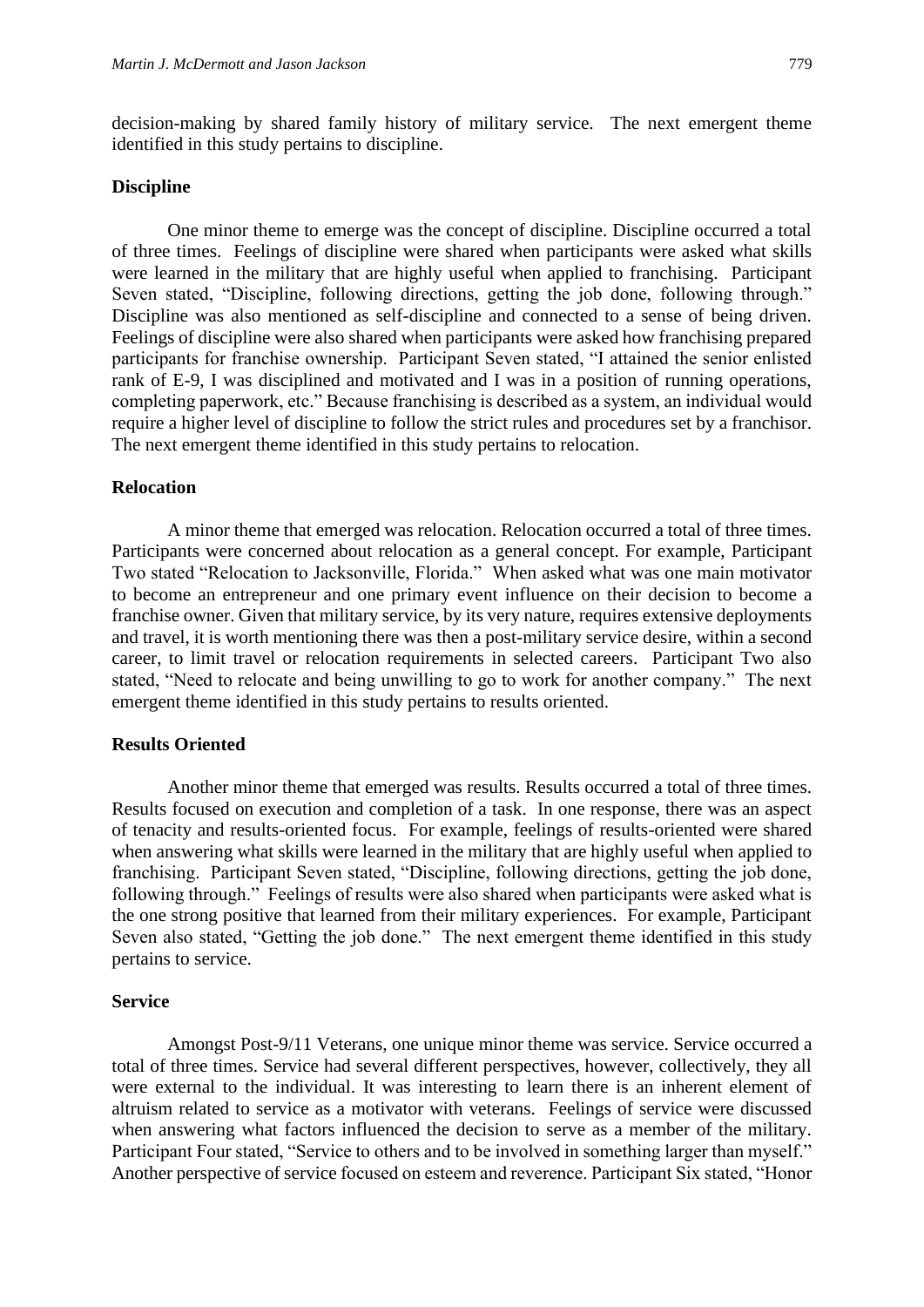decision-making by shared family history of military service. The next emergent theme identified in this study pertains to discipline.

#### **Discipline**

One minor theme to emerge was the concept of discipline. Discipline occurred a total of three times. Feelings of discipline were shared when participants were asked what skills were learned in the military that are highly useful when applied to franchising. Participant Seven stated, "Discipline, following directions, getting the job done, following through." Discipline was also mentioned as self-discipline and connected to a sense of being driven. Feelings of discipline were also shared when participants were asked how franchising prepared participants for franchise ownership. Participant Seven stated, "I attained the senior enlisted rank of E-9, I was disciplined and motivated and I was in a position of running operations, completing paperwork, etc." Because franchising is described as a system, an individual would require a higher level of discipline to follow the strict rules and procedures set by a franchisor. The next emergent theme identified in this study pertains to relocation.

## **Relocation**

A minor theme that emerged was relocation. Relocation occurred a total of three times. Participants were concerned about relocation as a general concept. For example, Participant Two stated "Relocation to Jacksonville, Florida." When asked what was one main motivator to become an entrepreneur and one primary event influence on their decision to become a franchise owner. Given that military service, by its very nature, requires extensive deployments and travel, it is worth mentioning there was then a post-military service desire, within a second career, to limit travel or relocation requirements in selected careers. Participant Two also stated, "Need to relocate and being unwilling to go to work for another company." The next emergent theme identified in this study pertains to results oriented.

#### **Results Oriented**

Another minor theme that emerged was results. Results occurred a total of three times. Results focused on execution and completion of a task. In one response, there was an aspect of tenacity and results-oriented focus. For example, feelings of results-oriented were shared when answering what skills were learned in the military that are highly useful when applied to franchising. Participant Seven stated, "Discipline, following directions, getting the job done, following through." Feelings of results were also shared when participants were asked what is the one strong positive that learned from their military experiences. For example, Participant Seven also stated, "Getting the job done." The next emergent theme identified in this study pertains to service.

#### **Service**

Amongst Post-9/11 Veterans, one unique minor theme was service. Service occurred a total of three times. Service had several different perspectives, however, collectively, they all were external to the individual. It was interesting to learn there is an inherent element of altruism related to service as a motivator with veterans. Feelings of service were discussed when answering what factors influenced the decision to serve as a member of the military. Participant Four stated, "Service to others and to be involved in something larger than myself." Another perspective of service focused on esteem and reverence. Participant Six stated, "Honor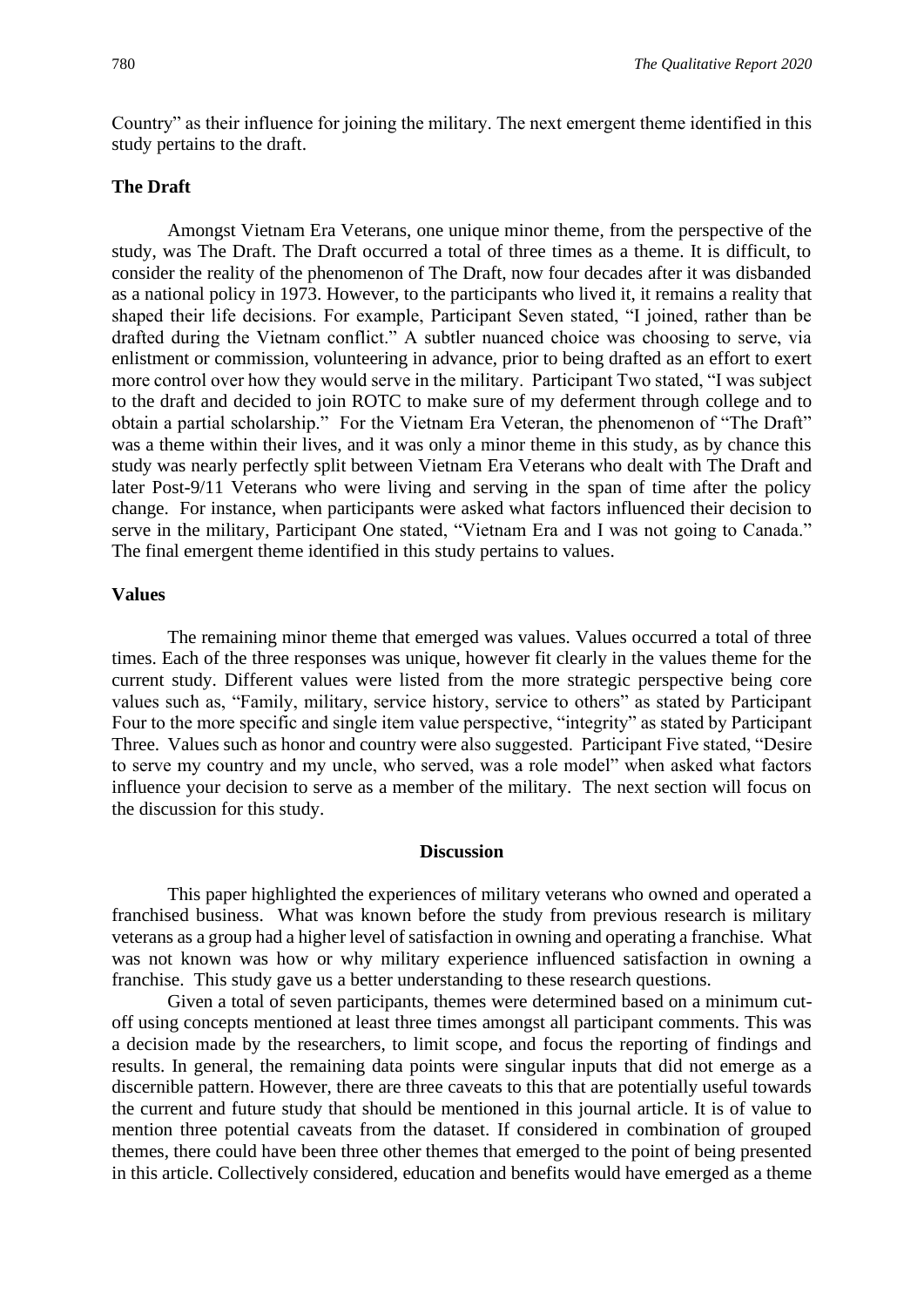Country" as their influence for joining the military. The next emergent theme identified in this study pertains to the draft.

## **The Draft**

Amongst Vietnam Era Veterans, one unique minor theme, from the perspective of the study, was The Draft. The Draft occurred a total of three times as a theme. It is difficult, to consider the reality of the phenomenon of The Draft, now four decades after it was disbanded as a national policy in 1973. However, to the participants who lived it, it remains a reality that shaped their life decisions. For example, Participant Seven stated, "I joined, rather than be drafted during the Vietnam conflict." A subtler nuanced choice was choosing to serve, via enlistment or commission, volunteering in advance, prior to being drafted as an effort to exert more control over how they would serve in the military. Participant Two stated, "I was subject to the draft and decided to join ROTC to make sure of my deferment through college and to obtain a partial scholarship." For the Vietnam Era Veteran, the phenomenon of "The Draft" was a theme within their lives, and it was only a minor theme in this study, as by chance this study was nearly perfectly split between Vietnam Era Veterans who dealt with The Draft and later Post-9/11 Veterans who were living and serving in the span of time after the policy change. For instance, when participants were asked what factors influenced their decision to serve in the military, Participant One stated, "Vietnam Era and I was not going to Canada." The final emergent theme identified in this study pertains to values.

# **Values**

The remaining minor theme that emerged was values. Values occurred a total of three times. Each of the three responses was unique, however fit clearly in the values theme for the current study. Different values were listed from the more strategic perspective being core values such as, "Family, military, service history, service to others" as stated by Participant Four to the more specific and single item value perspective, "integrity" as stated by Participant Three. Values such as honor and country were also suggested. Participant Five stated, "Desire to serve my country and my uncle, who served, was a role model" when asked what factors influence your decision to serve as a member of the military. The next section will focus on the discussion for this study.

#### **Discussion**

This paper highlighted the experiences of military veterans who owned and operated a franchised business. What was known before the study from previous research is military veterans as a group had a higher level of satisfaction in owning and operating a franchise. What was not known was how or why military experience influenced satisfaction in owning a franchise. This study gave us a better understanding to these research questions.

Given a total of seven participants, themes were determined based on a minimum cutoff using concepts mentioned at least three times amongst all participant comments. This was a decision made by the researchers, to limit scope, and focus the reporting of findings and results. In general, the remaining data points were singular inputs that did not emerge as a discernible pattern. However, there are three caveats to this that are potentially useful towards the current and future study that should be mentioned in this journal article. It is of value to mention three potential caveats from the dataset. If considered in combination of grouped themes, there could have been three other themes that emerged to the point of being presented in this article. Collectively considered, education and benefits would have emerged as a theme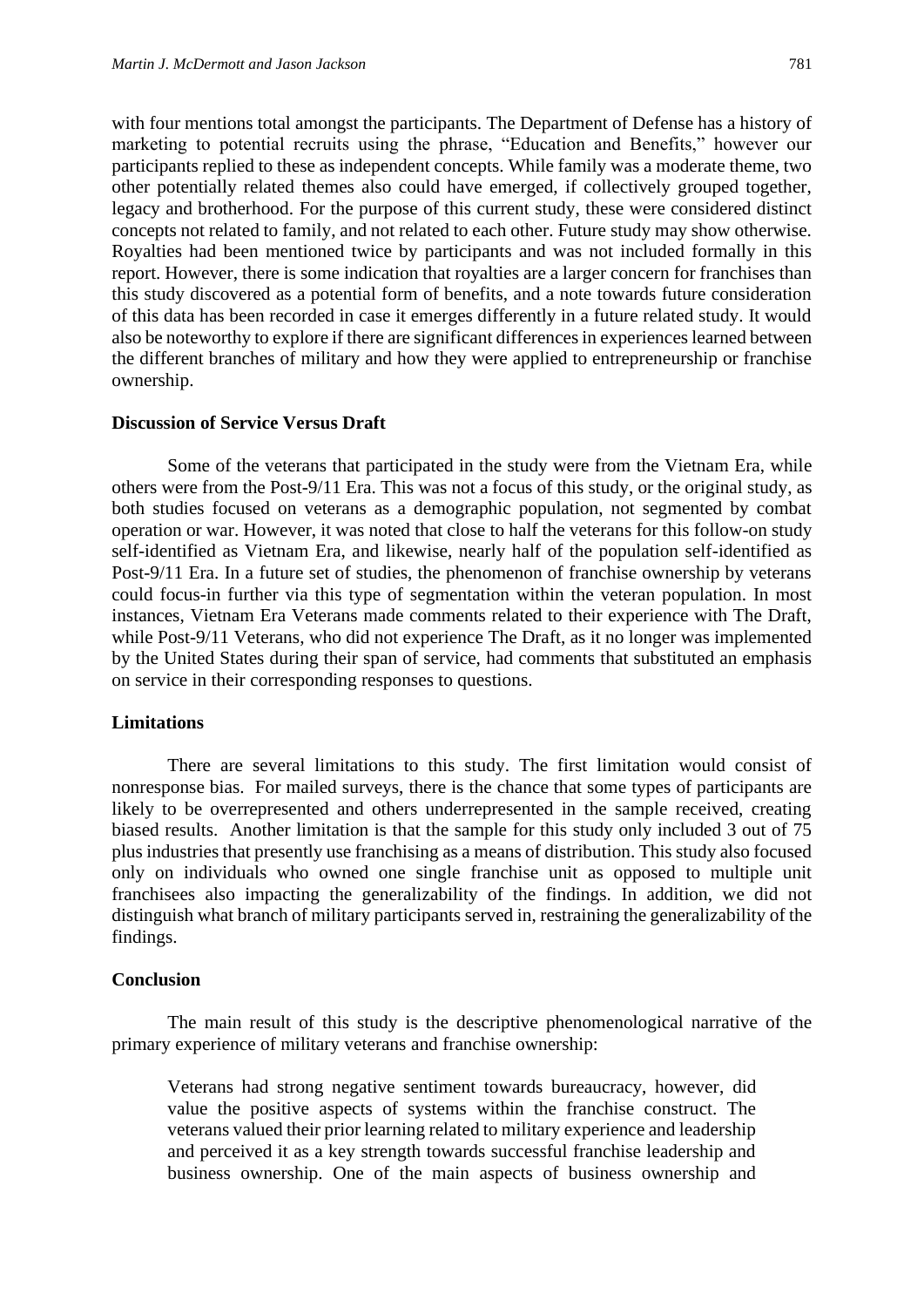with four mentions total amongst the participants. The Department of Defense has a history of marketing to potential recruits using the phrase, "Education and Benefits," however our participants replied to these as independent concepts. While family was a moderate theme, two other potentially related themes also could have emerged, if collectively grouped together, legacy and brotherhood. For the purpose of this current study, these were considered distinct concepts not related to family, and not related to each other. Future study may show otherwise. Royalties had been mentioned twice by participants and was not included formally in this report. However, there is some indication that royalties are a larger concern for franchises than this study discovered as a potential form of benefits, and a note towards future consideration of this data has been recorded in case it emerges differently in a future related study. It would also be noteworthy to explore if there are significant differences in experiences learned between the different branches of military and how they were applied to entrepreneurship or franchise ownership.

#### **Discussion of Service Versus Draft**

Some of the veterans that participated in the study were from the Vietnam Era, while others were from the Post-9/11 Era. This was not a focus of this study, or the original study, as both studies focused on veterans as a demographic population, not segmented by combat operation or war. However, it was noted that close to half the veterans for this follow-on study self-identified as Vietnam Era, and likewise, nearly half of the population self-identified as Post-9/11 Era. In a future set of studies, the phenomenon of franchise ownership by veterans could focus-in further via this type of segmentation within the veteran population. In most instances, Vietnam Era Veterans made comments related to their experience with The Draft, while Post-9/11 Veterans, who did not experience The Draft, as it no longer was implemented by the United States during their span of service, had comments that substituted an emphasis on service in their corresponding responses to questions.

## **Limitations**

There are several limitations to this study. The first limitation would consist of nonresponse bias. For mailed surveys, there is the chance that some types of participants are likely to be overrepresented and others underrepresented in the sample received, creating biased results. Another limitation is that the sample for this study only included 3 out of 75 plus industries that presently use franchising as a means of distribution. This study also focused only on individuals who owned one single franchise unit as opposed to multiple unit franchisees also impacting the generalizability of the findings. In addition, we did not distinguish what branch of military participants served in, restraining the generalizability of the findings.

## **Conclusion**

The main result of this study is the descriptive phenomenological narrative of the primary experience of military veterans and franchise ownership:

Veterans had strong negative sentiment towards bureaucracy, however, did value the positive aspects of systems within the franchise construct. The veterans valued their prior learning related to military experience and leadership and perceived it as a key strength towards successful franchise leadership and business ownership. One of the main aspects of business ownership and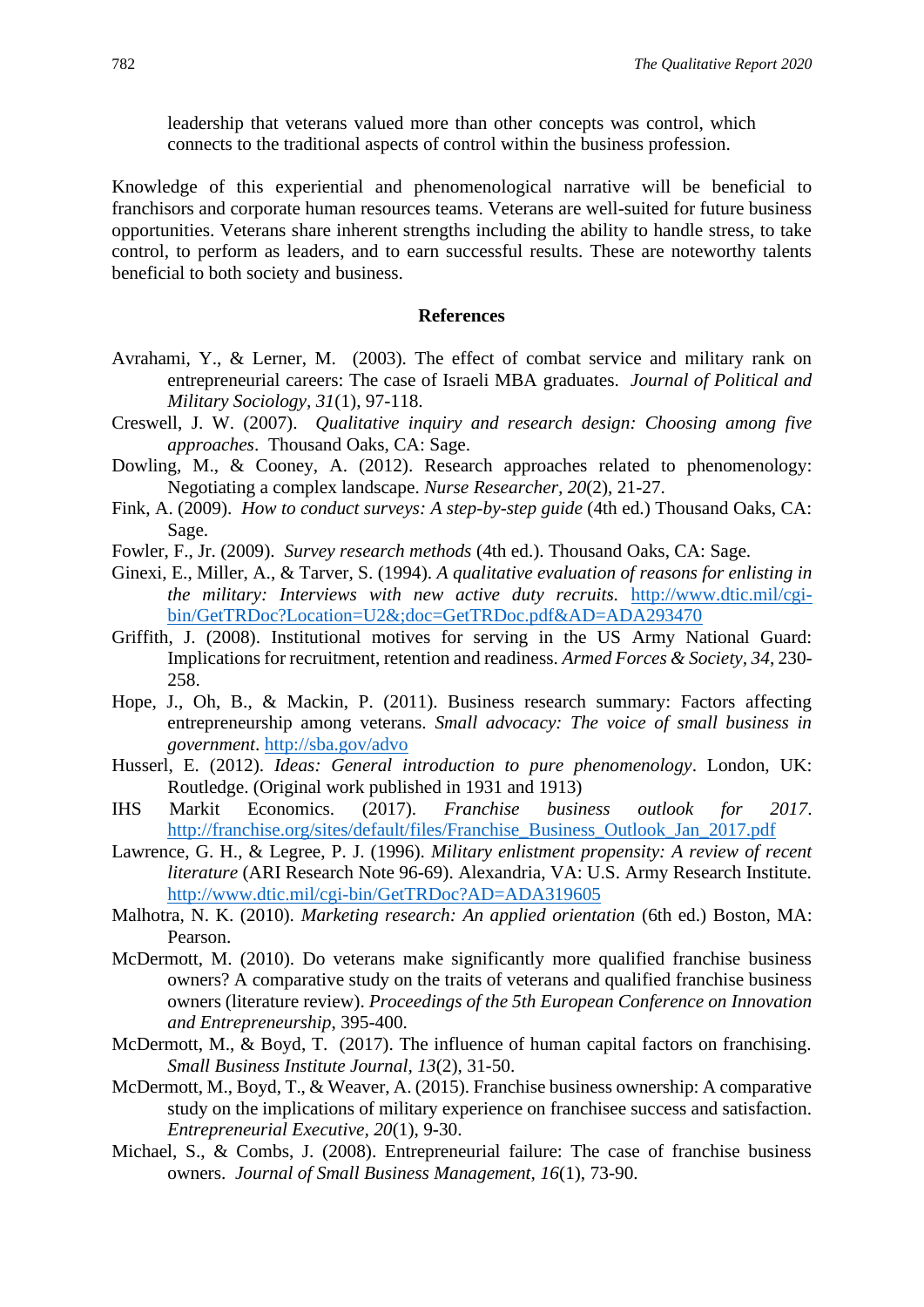leadership that veterans valued more than other concepts was control, which connects to the traditional aspects of control within the business profession.

Knowledge of this experiential and phenomenological narrative will be beneficial to franchisors and corporate human resources teams. Veterans are well-suited for future business opportunities. Veterans share inherent strengths including the ability to handle stress, to take control, to perform as leaders, and to earn successful results. These are noteworthy talents beneficial to both society and business.

## **References**

- Avrahami, Y., & Lerner, M. (2003). The effect of combat service and military rank on entrepreneurial careers: The case of Israeli MBA graduates. *Journal of Political and Military Sociology, 31*(1), 97-118.
- Creswell, J. W. (2007). *Qualitative inquiry and research design: Choosing among five approaches*. Thousand Oaks, CA: Sage.
- Dowling, M., & Cooney, A. (2012). Research approaches related to phenomenology: Negotiating a complex landscape. *Nurse Researcher, 20*(2), 21-27.
- Fink, A. (2009). *How to conduct surveys: A step-by-step guide* (4th ed.) Thousand Oaks, CA: Sage.
- Fowler, F., Jr. (2009). *Survey research methods* (4th ed.). Thousand Oaks, CA: Sage.
- Ginexi, E., Miller, A., & Tarver, S. (1994). *A qualitative evaluation of reasons for enlisting in the military: Interviews with new active duty recruits.* [http://www.dtic.mil/cgi](about:blank)[bin/GetTRDoc?Location=U2&;doc=GetTRDoc.pdf&AD=ADA293470](about:blank)
- Griffith, J. (2008). Institutional motives for serving in the US Army National Guard: Implications for recruitment, retention and readiness. *Armed Forces & Society, 34*, 230- 258.
- Hope, J., Oh, B., & Mackin, P. (2011). Business research summary: Factors affecting entrepreneurship among veterans. *Small advocacy: The voice of small business in government*. [http://sba.gov/advo](about:blank)
- Husserl, E. (2012). *Ideas: General introduction to pure phenomenology*. London, UK: Routledge. (Original work published in 1931 and 1913)
- IHS Markit Economics. (2017). *Franchise business outlook for 2017*. [http://franchise.org/sites/default/files/Franchise\\_Business\\_Outlook\\_Jan\\_2017.pdf](about:blank)
- Lawrence, G. H., & Legree, P. J. (1996). *Military enlistment propensity: A review of recent literature* (ARI Research Note 96-69). Alexandria, VA: U.S. Army Research Institute. [http://www.dtic.mil/cgi-bin/GetTRDoc?AD=ADA319605](about:blank)
- Malhotra, N. K. (2010). *Marketing research: An applied orientation* (6th ed.) Boston, MA: Pearson.
- McDermott, M. (2010). Do veterans make significantly more qualified franchise business owners? A comparative study on the traits of veterans and qualified franchise business owners (literature review). *Proceedings of the 5th European Conference on Innovation and Entrepreneurship*, 395-400.
- McDermott, M., & Boyd, T. (2017). The influence of human capital factors on franchising. *Small Business Institute Journal, 13*(2), 31-50.
- McDermott, M., Boyd, T., & Weaver, A. (2015). Franchise business ownership: A comparative study on the implications of military experience on franchisee success and satisfaction. *Entrepreneurial Executive, 20*(1), 9-30.
- Michael, S., & Combs, J. (2008). Entrepreneurial failure: The case of franchise business owners. *Journal of Small Business Management, 16*(1), 73-90.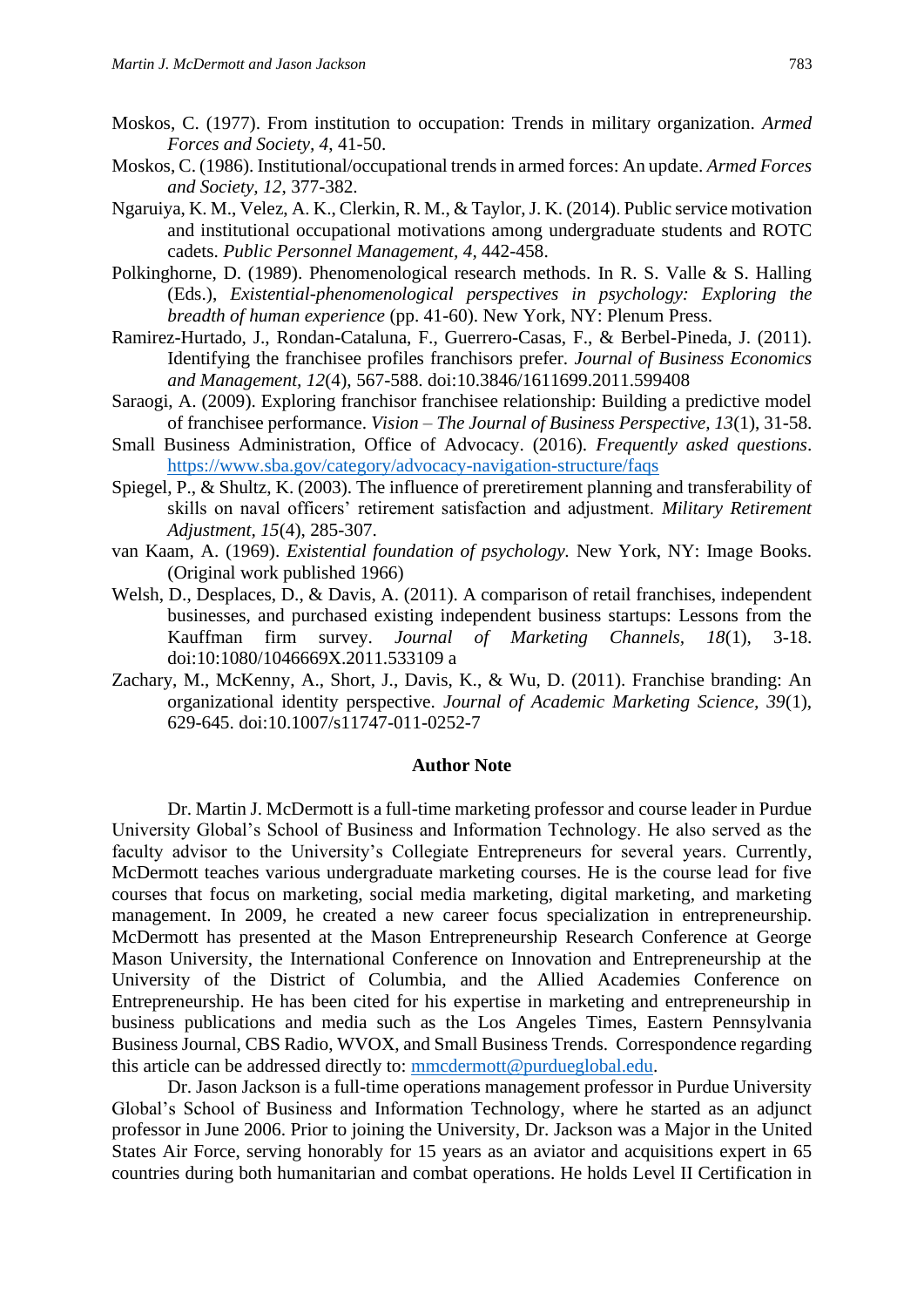- Moskos, C. (1977). From institution to occupation: Trends in military organization. *Armed Forces and Society, 4*, 41-50.
- Moskos, C. (1986). Institutional/occupational trends in armed forces: An update. *Armed Forces and Society, 12*, 377-382.
- Ngaruiya, K. M., Velez, A. K., Clerkin, R. M., & Taylor, J. K. (2014). Public service motivation and institutional occupational motivations among undergraduate students and ROTC cadets. *Public Personnel Management, 4,* 442-458.
- Polkinghorne, D. (1989). Phenomenological research methods*.* In R. S. Valle & S. Halling (Eds.), *Existential-phenomenological perspectives in psychology: Exploring the breadth of human experience* (pp. 41-60). New York, NY: Plenum Press.
- Ramirez-Hurtado, J., Rondan-Cataluna, F., Guerrero-Casas, F., & Berbel-Pineda, J. (2011). Identifying the franchisee profiles franchisors prefer. *Journal of Business Economics and Management, 12*(4), 567-588. doi:10.3846/1611699.2011.599408
- Saraogi, A. (2009). Exploring franchisor franchisee relationship: Building a predictive model of franchisee performance. *Vision – The Journal of Business Perspective, 13*(1), 31-58.
- Small Business Administration, Office of Advocacy. (2016). *Frequently asked questions*. [https://www.sba.gov/category/advocacy-navigation-structure/faqs](about:blank)
- Spiegel, P., & Shultz, K. (2003). The influence of preretirement planning and transferability of skills on naval officers' retirement satisfaction and adjustment. *Military Retirement Adjustment, 15*(4), 285-307.
- van Kaam, A. (1969). *Existential foundation of psychology.* New York, NY: Image Books. (Original work published 1966)
- Welsh, D., Desplaces, D., & Davis, A. (2011). A comparison of retail franchises, independent businesses, and purchased existing independent business startups: Lessons from the Kauffman firm survey. *Journal of Marketing Channels, 18*(1), 3-18. doi:10:1080/1046669X.2011.533109 a
- Zachary, M., McKenny, A., Short, J., Davis, K., & Wu, D. (2011). Franchise branding: An organizational identity perspective. *Journal of Academic Marketing Science, 39*(1), 629-645. doi:10.1007/s11747-011-0252-7

#### **Author Note**

Dr. Martin J. McDermott is a full-time marketing professor and course leader in Purdue University Global's School of Business and Information Technology. He also served as the faculty advisor to the University's Collegiate Entrepreneurs for several years. Currently, McDermott teaches various undergraduate marketing courses. He is the course lead for five courses that focus on marketing, social media marketing, digital marketing, and marketing management. In 2009, he created a new career focus specialization in entrepreneurship. McDermott has presented at the Mason Entrepreneurship Research Conference at George Mason University, the International Conference on Innovation and Entrepreneurship at the University of the District of Columbia, and the Allied Academies Conference on Entrepreneurship. He has been cited for his expertise in marketing and entrepreneurship in business publications and media such as the Los Angeles Times, Eastern Pennsylvania Business Journal, CBS Radio, WVOX, and Small Business Trends. Correspondence regarding this article can be addressed directly to: [mmcdermott@purdueglobal.edu.](about:blank)

Dr. Jason Jackson is a full-time operations management professor in Purdue University Global's School of Business and Information Technology, where he started as an adjunct professor in June 2006. Prior to joining the University, Dr. Jackson was a Major in the United States Air Force, serving honorably for 15 years as an aviator and acquisitions expert in 65 countries during both humanitarian and combat operations. He holds Level II Certification in